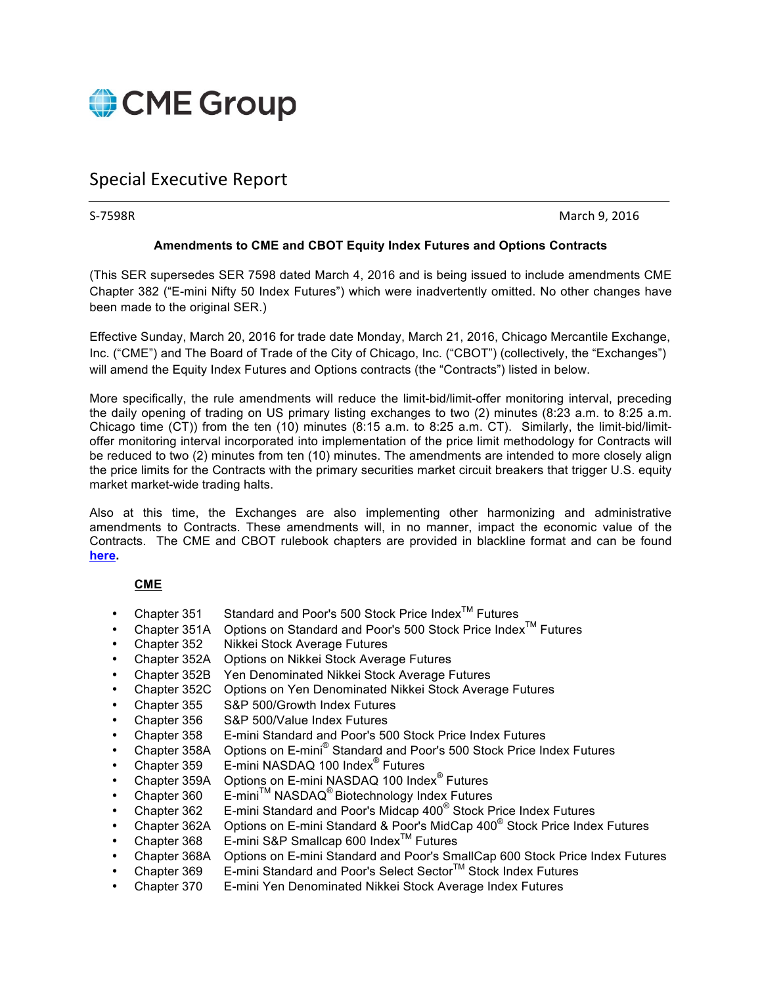

## Special Executive Report

S-7598R March 9, 2016

## **Amendments to CME and CBOT Equity Index Futures and Options Contracts**

(This SER supersedes SER 7598 dated March 4, 2016 and is being issued to include amendments CME Chapter 382 ("E-mini Nifty 50 Index Futures") which were inadvertently omitted. No other changes have been made to the original SER.)

Effective Sunday, March 20, 2016 for trade date Monday, March 21, 2016, Chicago Mercantile Exchange, Inc. ("CME") and The Board of Trade of the City of Chicago, Inc. ("CBOT") (collectively, the "Exchanges") will amend the Equity Index Futures and Options contracts (the "Contracts") listed in below.

More specifically, the rule amendments will reduce the limit-bid/limit-offer monitoring interval, preceding the daily opening of trading on US primary listing exchanges to two (2) minutes (8:23 a.m. to 8:25 a.m. Chicago time (CT)) from the ten (10) minutes (8:15 a.m. to 8:25 a.m. CT). Similarly, the limit-bid/limitoffer monitoring interval incorporated into implementation of the price limit methodology for Contracts will be reduced to two (2) minutes from ten (10) minutes. The amendments are intended to more closely align the price limits for the Contracts with the primary securities market circuit breakers that trigger U.S. equity market market-wide trading halts.

Also at this time, the Exchanges are also implementing other harmonizing and administrative amendments to Contracts. These amendments will, in no manner, impact the economic value of the Contracts. The CME and CBOT rulebook chapters are provided in blackline format and can be found **[here.](http://www.cmegroup.com/tools-information/lookups/advisories/ser/files/SER-7598-Exhibit-A.pdf)**

## **CME**

- Chapter 351 Standard and Poor's 500 Stock Price Index<sup>TM</sup> Futures
- Chapter 351A Options on Standard and Poor's 500 Stock Price Index<sup>TM</sup> Futures Chapter 352 Nikkei Stock Average Futures
- **Nikkei Stock Average Futures**
- Chapter 352A Options on Nikkei Stock Average Futures
- Chapter 352B Yen Denominated Nikkei Stock Average Futures
- Chapter 352C Options on Yen Denominated Nikkei Stock Average Futures
- Chapter 355 S&P 500/Growth Index Futures
- Chapter 356 S&P 500/Value Index Futures
- Chapter 358 E-mini Standard and Poor's 500 Stock Price Index Futures
- Chapter 358A Options on E-mini® Standard and Poor's 500 Stock Price Index Futures
- Chapter 359 E-mini NASDAQ 100 Index® Futures
- Chapter 359A Options on E-mini NASDAQ 100 Index® Futures
- Chapter 360 E-mini<sup>™</sup> NASDAQ<sup>®</sup> Biotechnology Index Futures
- Chapter 362 E-mini Standard and Poor's Midcap 400® Stock Price Index Futures
- Chapter 362A Options on E-mini Standard & Poor's MidCap 400® Stock Price Index Futures
- Chapter 368 E-mini S&P Smallcap 600 IndexTM Futures
- Chapter 368A Options on E-mini Standard and Poor's SmallCap 600 Stock Price Index Futures
- Chapter 369 E-mini Standard and Poor's Select Sector™ Stock Index Futures
- Chapter 370 E-mini Yen Denominated Nikkei Stock Average Index Futures